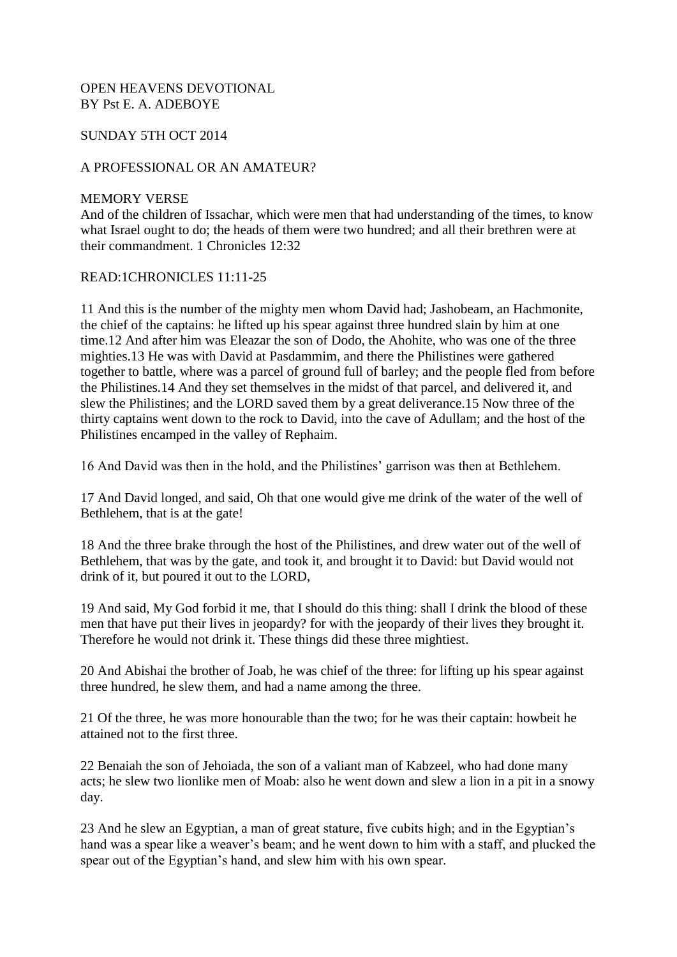# OPEN HEAVENS DEVOTIONAL BY Pst E. A. ADEBOYE

# SUNDAY 5TH OCT 2014

# A PROFESSIONAL OR AN AMATEUR?

# MEMORY VERSE

And of the children of Issachar, which were men that had understanding of the times, to know what Israel ought to do; the heads of them were two hundred; and all their brethren were at their commandment. 1 Chronicles 12:32

# READ:1CHRONICLES 11:11-25

11 And this is the number of the mighty men whom David had; Jashobeam, an Hachmonite, the chief of the captains: he lifted up his spear against three hundred slain by him at one time.12 And after him was Eleazar the son of Dodo, the Ahohite, who was one of the three mighties.13 He was with David at Pasdammim, and there the Philistines were gathered together to battle, where was a parcel of ground full of barley; and the people fled from before the Philistines.14 And they set themselves in the midst of that parcel, and delivered it, and slew the Philistines; and the LORD saved them by a great deliverance.15 Now three of the thirty captains went down to the rock to David, into the cave of Adullam; and the host of the Philistines encamped in the valley of Rephaim.

16 And David was then in the hold, and the Philistines' garrison was then at Bethlehem.

17 And David longed, and said, Oh that one would give me drink of the water of the well of Bethlehem, that is at the gate!

18 And the three brake through the host of the Philistines, and drew water out of the well of Bethlehem, that was by the gate, and took it, and brought it to David: but David would not drink of it, but poured it out to the LORD,

19 And said, My God forbid it me, that I should do this thing: shall I drink the blood of these men that have put their lives in jeopardy? for with the jeopardy of their lives they brought it. Therefore he would not drink it. These things did these three mightiest.

20 And Abishai the brother of Joab, he was chief of the three: for lifting up his spear against three hundred, he slew them, and had a name among the three.

21 Of the three, he was more honourable than the two; for he was their captain: howbeit he attained not to the first three.

22 Benaiah the son of Jehoiada, the son of a valiant man of Kabzeel, who had done many acts; he slew two lionlike men of Moab: also he went down and slew a lion in a pit in a snowy day.

23 And he slew an Egyptian, a man of great stature, five cubits high; and in the Egyptian's hand was a spear like a weaver's beam; and he went down to him with a staff, and plucked the spear out of the Egyptian's hand, and slew him with his own spear.